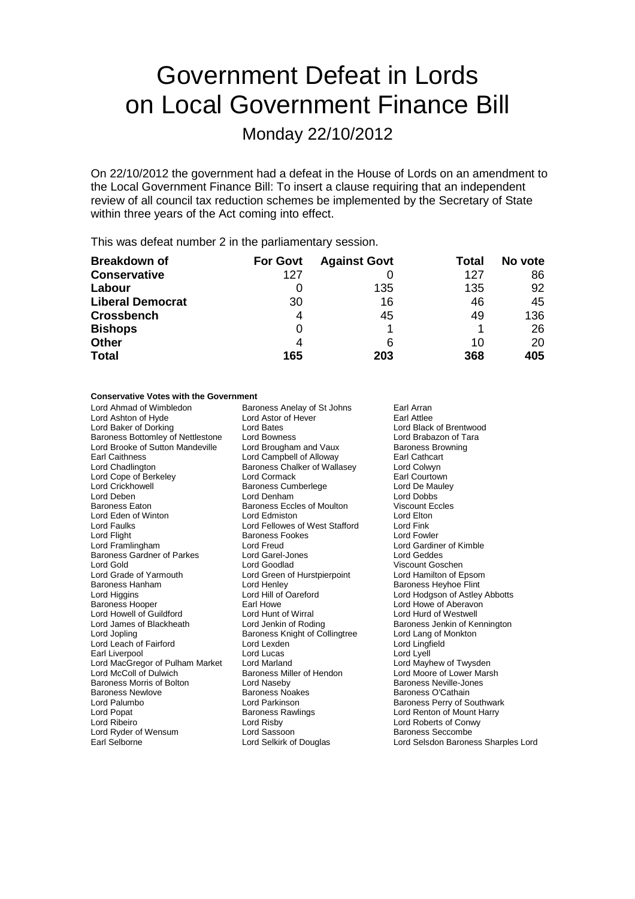# Government Defeat in Lords on Local Government Finance Bill

# Monday 22/10/2012

On 22/10/2012 the government had a defeat in the House of Lords on an amendment to the Local Government Finance Bill: To insert a clause requiring that an independent review of all council tax reduction schemes be implemented by the Secretary of State within three years of the Act coming into effect.

This was defeat number 2 in the parliamentary session.

| <b>Breakdown of</b>     | <b>For Govt</b> | <b>Against Govt</b> | Total | No vote |
|-------------------------|-----------------|---------------------|-------|---------|
| <b>Conservative</b>     | 127             |                     | 127   | 86      |
| Labour                  |                 | 135                 | 135   | 92      |
| <b>Liberal Democrat</b> | 30              | 16                  | 46    | 45      |
| <b>Crossbench</b>       | 4               | 45                  | 49    | 136     |
| <b>Bishops</b>          | 0               |                     |       | 26      |
| <b>Other</b>            | 4               | 6                   | 10    | 20      |
| <b>Total</b>            | 165             | 203                 | 368   | 405     |

#### **Conservative Votes with the Government**

| Lord Ahmad of Wimbledon           | Baroness Anelay of St Johns    | Earl Arran                          |  |
|-----------------------------------|--------------------------------|-------------------------------------|--|
| Lord Ashton of Hyde               | Lord Astor of Hever            | Earl Attlee                         |  |
| Lord Baker of Dorking             | Lord Bates                     | Lord Black of Brentwood             |  |
| Baroness Bottomley of Nettlestone | Lord Bowness                   | Lord Brabazon of Tara               |  |
| Lord Brooke of Sutton Mandeville  | Lord Brougham and Vaux         | <b>Baroness Browning</b>            |  |
| Earl Caithness                    | Lord Campbell of Alloway       | Earl Cathcart                       |  |
| Lord Chadlington                  | Baroness Chalker of Wallasey   | Lord Colwyn                         |  |
| Lord Cope of Berkeley             | Lord Cormack                   | Earl Courtown                       |  |
| Lord Crickhowell                  | <b>Baroness Cumberlege</b>     | Lord De Mauley                      |  |
| Lord Deben                        | Lord Denham                    | Lord Dobbs                          |  |
| <b>Baroness Eaton</b>             | Baroness Eccles of Moulton     | <b>Viscount Eccles</b>              |  |
| Lord Eden of Winton               | Lord Edmiston                  | Lord Elton                          |  |
| <b>Lord Faulks</b>                | Lord Fellowes of West Stafford | Lord Fink                           |  |
| Lord Flight                       | Baroness Fookes                | Lord Fowler                         |  |
| Lord Framlingham                  | Lord Freud                     | Lord Gardiner of Kimble             |  |
| <b>Baroness Gardner of Parkes</b> | Lord Garel-Jones               | Lord Geddes                         |  |
| Lord Gold                         | Lord Goodlad                   | Viscount Goschen                    |  |
| Lord Grade of Yarmouth            | Lord Green of Hurstpierpoint   | Lord Hamilton of Epsom              |  |
| Baroness Hanham                   | Lord Henley                    | <b>Baroness Heyhoe Flint</b>        |  |
| Lord Higgins                      | Lord Hill of Oareford          | Lord Hodgson of Astley Abbotts      |  |
| <b>Baroness Hooper</b>            | Earl Howe                      | Lord Howe of Aberavon               |  |
| Lord Howell of Guildford          | Lord Hunt of Wirral            | Lord Hurd of Westwell               |  |
| Lord James of Blackheath          | Lord Jenkin of Roding          | Baroness Jenkin of Kennington       |  |
| Lord Jopling                      | Baroness Knight of Collingtree | Lord Lang of Monkton                |  |
| Lord Leach of Fairford            | Lord Lexden                    | Lord Lingfield                      |  |
| Earl Liverpool                    | Lord Lucas                     | Lord Lyell                          |  |
| Lord MacGregor of Pulham Market   | Lord Marland                   | Lord Mayhew of Twysden              |  |
| Lord McColl of Dulwich            | Baroness Miller of Hendon      | Lord Moore of Lower Marsh           |  |
| Baroness Morris of Bolton         | Lord Naseby                    | Baroness Neville-Jones              |  |
| <b>Baroness Newlove</b>           | <b>Baroness Noakes</b>         | Baroness O'Cathain                  |  |
| Lord Palumbo                      | Lord Parkinson                 | Baroness Perry of Southwark         |  |
| Lord Popat                        | <b>Baroness Rawlings</b>       | Lord Renton of Mount Harry          |  |
| Lord Ribeiro                      | Lord Risby                     | Lord Roberts of Conwy               |  |
| Lord Ryder of Wensum              | Lord Sassoon                   | Baroness Seccombe                   |  |
| Earl Selborne                     | Lord Selkirk of Douglas        | Lord Selsdon Baroness Sharples Lord |  |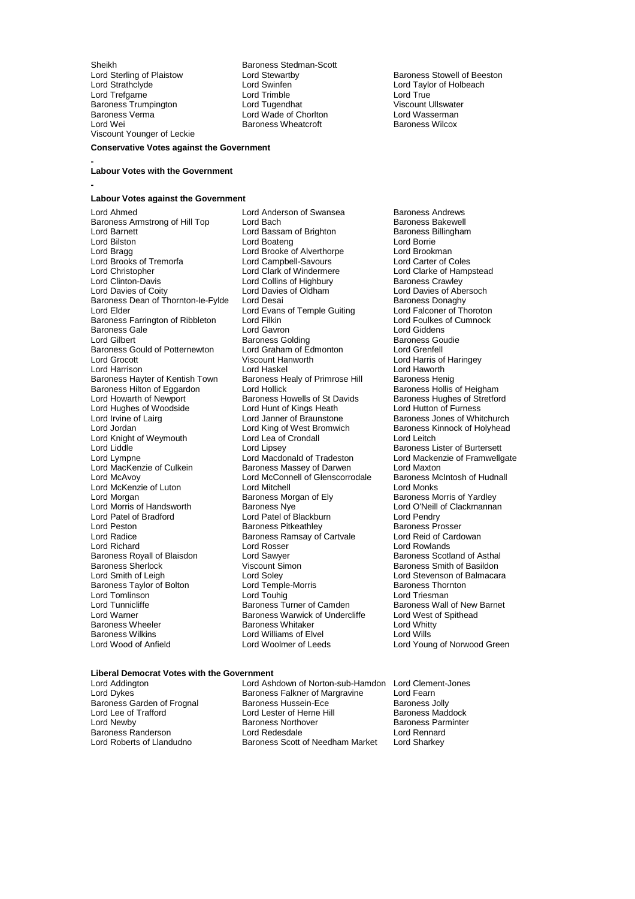Sheikh Baroness Stedman-Scott<br>
Lord Sterling of Plaistow Lord Stewartby Lord Trefgarne Lord Trefference Cord Trimble<br>
Lord Trumes Trumpington Lord Tugendhat Cord Tugendhat Cliswater Baroness Trumpington and Lord Tugendhat Chromosoft Viscount Ullswate<br>Baroness Verma Chromosoft Lord Wade of Choriton Chromosoft Lord Wasserman Baroness Verma Lord Wade of Chorlton Lord Wasserman Viscount Younger of Leckie

**-**

Lord Swinfen **Lord Taylor of Holbeach**<br>
Lord Trimble<br>
Lord True Baroness Wheatcroft

Lord Sterling of Plaistow **Lord Stewartby Communist Communist Communist Communist Communist Communist Communist Communist Communist Communist Communist Communist Communist Communist Communist Communist Communist Communist** 

#### **-**

**Conservative Votes against the Government**

### **Labour Votes with the Government**

#### **Labour Votes against the Government**

Lord Ahmed **Lord Anderson of Swansea** Baroness Andrews<br>
Baroness Armstrong of Hill Top Lord Bach **Baroness Bakewell** Baroness Armstrong of Hill Top Lord Bach Bach Baroness Bakewell<br>
Lord Barnett Barnett Lord Bassam of Brighton Baroness Billingham Lord Barnett Lord Bassam of Brighton Baroness B<br>
Lord Barnett Lord Boateng<br>
Lord Boateng<br>
Lord Barnett Lord Boateng Lord Bilston **Lord Boateng** Lord Boateng Lord Boateng Lord Boateng Lord Boateng Lord Brookman<br>
Lord Bragg Lord Brooke of Alverthorpe Lord Brookman Lord Brooks of Tremorfa Lord Campbell-Savours<br>
Lord Christopher Lord Clark of Windermere Lord Christopher **Lord Clark of Windermere** Lord Clarke of Hampstead<br>
Lord Clinton-Davis **Lord Collins of Highbury** Baroness Crawley Lord Clinton-Davis<br>
Lord Davies of Coity<br>
Lord Davies of Coity<br>
Lord Davies of Oldham Baroness Dean of Thornton-le-Fylde Lord Desai **Baroness Dean of Thornton-le-Fylde** Lord Desai Baroness Donaghy<br>Lord Elder Lord Clare Lord Evans of Temple Guiting Lord Falconer of Thoroton Baroness Farrington of Ribbleton Lord Filkin Lord Foulkes<br>Baroness Gale Cumnock Lord Gavron Lord Cumnock Cumnock Cumnock Baroness Gale <sup>2</sup> 1992 Lord Gavron 2008 Lord Giddens Lord Giddens<br>
Lord Gilbert 1996 Lord Garoness Golding 1996 Baroness Goudie Baroness Gould of Potternewton Lord Graham of Edmonton Lord Graham of Edmonton Lord Graham of Edmonton Lord Gr<br>
Lord Grocott Corence Corenal Alberta Crentell Manuscrip Lord Grocott Viscount Hanworth Lord Harris of Haringey Baroness Hayter of Kentish Town<br>
Baroness Healy of Primrose Hill Baroness Henig<br>
Baroness Hilton of Eggardon Lord Hollick Baroness Hollis of Heigham Baroness Hilton of Eggardon Lord Hollick Baroness Hollis of Heigham<br>
Lord Howarth of Newport Baroness Howells of St Davids Baroness Hughes of Stretford Lord Hughes of Woodside Lord Hunt of Kings Heath<br>
Lord Irvine of Lairg<br>
Lord Janner of Braunstone Lord Irvine of Lairg **Lord Lord Janner of Braunstone** Baroness Jones of Whitchurch<br>
Lord Jordan **Baroness** Kinnock of Holyhead Lord Knight of Weymouth Lord Lea of<br>
Lord Liddle Lord Linsey Lord Liddle Lord Lipsey Lord Lipsey Cord Lines Baroness Lister of Burtersett<br>Lord Lord Macdonald of Tradeston Lord Mackenzie of Framwellg Lord Lympne Lord Macdonald of Tradeston Lord Mackenzie of Framwellgate<br>
Lord MacKenzie of Culkein Baroness Massey of Darwen Lord Maxton Lord MacKenzie of Culkein **Baroness Massey of Darwen** Lord Maxton<br>Lord McAvov Lord McConnell of Glenscorrodale Baroness McIntosh of Hudnall Lord McKenzie of Luton Lord Mitchell Lord Monks<br>
Lord Morgan Cord Monks<br>
Baroness Morgan of Ely Baroness M Lord Morgan burgan baroness Morgan of Ely Baroness Morris of Yardley<br>
Lord Morris of Handsworth Baroness Nye Baroness Nye Lord O'Neill of Clackmanna Lord Morris of Handsworth **Baroness Nye Lord O'Neill of Clackmannan**<br>
Lord Patel of Bradford Lord Patel of Blackburn Lord Pendry Lord Peston **Baroness Pitkeathley** Baroness Prosser<br>
Lord Radice **Baroness Ramsav of Cartyale** Lord Reid of Cardowan Lord Radice **Baroness Ramsay of Cartvale**<br>
Lord Richard **Cardowan Lord Rosser** Baroness Royall of Blaisdon Lord Sawyer<br>
Baroness Sherlock Click Construct Construct Simon Baroness Sherlock **Viscount Simon**<br> **Example 3** Lord Sale and Sale and Scherland Baroness Smith of Balmacar<br>
Lord Stevenson of Balmacar Baroness Taylor of Bolton Lord Temple-Morris Baroness Thornton Baroness Thornton Lord Triesman<br>Representing the Lord Toubig Lord Toubig Lord Tomlinson **Lord Touhig** Lord Touhig Lord Triesman<br>
Lord Tunnicliffe **Lord Toubian Lord Touhing Communist Corporation**<br>
Lord Tunnicliffe **Lord Communist Communist Communist Communist Communist Communist Communist Commu** Lord Tunnicliffe **Baroness Turner of Camden** Baroness Wall of New Baroness Wall of New Baroness Warwick of Undercliffe **Barnet Barnet Constant** Lord West of Spithead Lord Warner **Communist Communist Communist Communist Communist Communist Communist Communist Communist Communist Communist Communist Communist Communist Communist Communist Communist Communist Communist Communist Communist Baroness Wheeler Baroness Whitaker Lord White**<br>Baroness Wilkins Lord Williams of Flyel Lord Wills Baroness Wilkins **Lord Williams of Elvel**<br>
Lord Wood of Anfield
Lord Woolmer of Leeds

Lord Brooke of Alverthorpe Lord Brookman<br>
Lord Campbell-Savours
Lord Carter of Coles Lord Davies of Oldham<br>
Lord Desai<br>
Lord Desai Lord Evans of Temple Guiting Lord Falconer of Thoroton<br>Lord Filkin Lord Foulkes of Cumnock Baroness Golding<br>
Lord Graham of Edmonton<br>
Lord Grenfell Lord Haskel<br>Baroness Healy of Primrose Hill Baroness Henig Baroness Howells of St Davids Baroness Hughes of St<br>
Lord Hunt of Kings Heath Lord Hutton of Furness Lord King of West Bromwich Baroness Kinnock of Holyhead<br>
Lord Lea of Crondall **Baroness** Lord Leitch Lord McConnell of Glenscorrodale<br>Lord Mitchell Lord Patel of Blackburn Lord Rosser **Lord Rowlands**<br>
Lord Sawyer **Lord Rowland Research Ross**<br>
Baroness Scotland of Asthal Lord Soley<br>
Lord Temple-Morris<br>
Baroness Thornton<br>
Baroness Thornton

Lord Young of Norwood Green

### **Liberal Democrat Votes with the Government**

Lord Lee of Trafford **Lord Lester of Herne Hill**<br>Lord Newby **Lord Ration** Baroness Northover

Lord Addington Lord Ashdown of Norton-sub-Hamdon Lord Clement-Jones Baroness Falkner of Margravine Lord Fearn<br>Baroness Hussein-Ece Baroness Jolly Baroness Garden of Frognal Baroness Hussein-Ece Baroness Jolly<br>
Lord Lee of Trafford Lord Lester of Herne Hill<br>
Baroness Maddock Examples Northover **Baroness Parminter**<br> **Lord Redesdale**<br> **Lord Rennard** Baroness Randerson **Lord Redesdale** Lord Rennard<br>
Lord Roberts of Llandudno **Baroness Scott of Needham Market** Lord Sharkey Baroness Scott of Needham Market